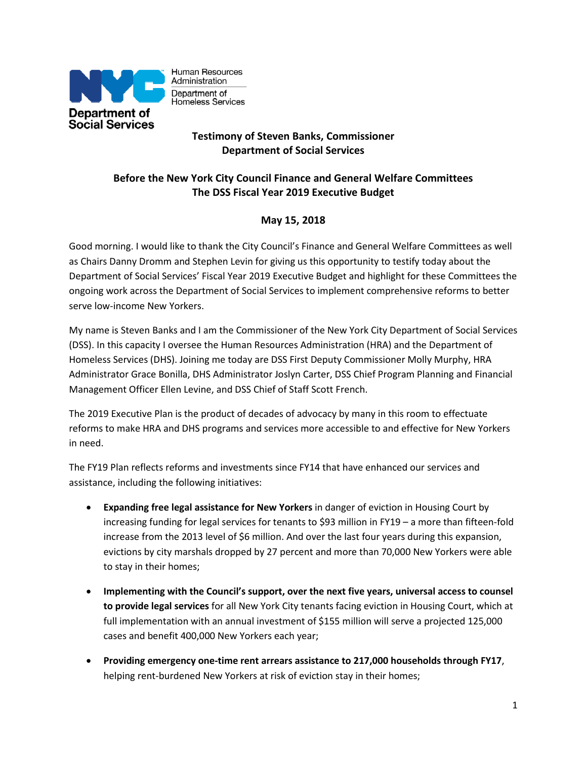

Human Resources Administration Department of Homeless Services

# **Testimony of Steven Banks, Commissioner Department of Social Services**

# **Before the New York City Council Finance and General Welfare Committees The DSS Fiscal Year 2019 Executive Budget**

# **May 15, 2018**

Good morning. I would like to thank the City Council's Finance and General Welfare Committees as well as Chairs Danny Dromm and Stephen Levin for giving us this opportunity to testify today about the Department of Social Services' Fiscal Year 2019 Executive Budget and highlight for these Committees the ongoing work across the Department of Social Services to implement comprehensive reforms to better serve low-income New Yorkers.

My name is Steven Banks and I am the Commissioner of the New York City Department of Social Services (DSS). In this capacity I oversee the Human Resources Administration (HRA) and the Department of Homeless Services (DHS). Joining me today are DSS First Deputy Commissioner Molly Murphy, HRA Administrator Grace Bonilla, DHS Administrator Joslyn Carter, DSS Chief Program Planning and Financial Management Officer Ellen Levine, and DSS Chief of Staff Scott French.

The 2019 Executive Plan is the product of decades of advocacy by many in this room to effectuate reforms to make HRA and DHS programs and services more accessible to and effective for New Yorkers in need.

The FY19 Plan reflects reforms and investments since FY14 that have enhanced our services and assistance, including the following initiatives:

- **Expanding free legal assistance for New Yorkers** in danger of eviction in Housing Court by increasing funding for legal services for tenants to \$93 million in FY19 – a more than fifteen-fold increase from the 2013 level of \$6 million. And over the last four years during this expansion, evictions by city marshals dropped by 27 percent and more than 70,000 New Yorkers were able to stay in their homes;
- **Implementing with the Council's support, over the next five years, universal access to counsel to provide legal services** for all New York City tenants facing eviction in Housing Court, which at full implementation with an annual investment of \$155 million will serve a projected 125,000 cases and benefit 400,000 New Yorkers each year;
- **Providing emergency one-time rent arrears assistance to 217,000 households through FY17**, helping rent-burdened New Yorkers at risk of eviction stay in their homes;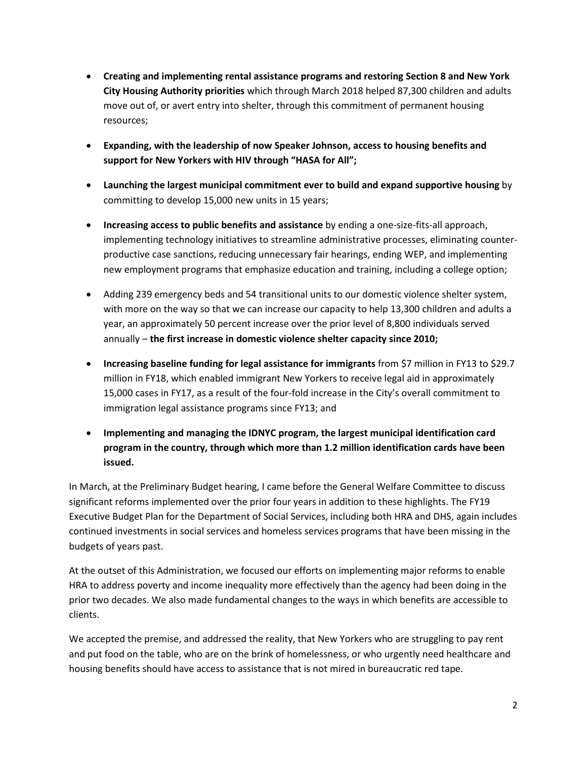- **Creating and implementing rental assistance programs and restoring Section 8 and New York City Housing Authority priorities** which through March 2018 helped 87,300 children and adults move out of, or avert entry into shelter, through this commitment of permanent housing resources;
- **Expanding, with the leadership of now Speaker Johnson, access to housing benefits and support for New Yorkers with HIV through "HASA for All";**
- **Launching the largest municipal commitment ever to build and expand supportive housing** by committing to develop 15,000 new units in 15 years;
- **Increasing access to public benefits and assistance** by ending a one-size-fits-all approach, implementing technology initiatives to streamline administrative processes, eliminating counterproductive case sanctions, reducing unnecessary fair hearings, ending WEP, and implementing new employment programs that emphasize education and training, including a college option;
- Adding 239 emergency beds and 54 transitional units to our domestic violence shelter system, with more on the way so that we can increase our capacity to help 13,300 children and adults a year, an approximately 50 percent increase over the prior level of 8,800 individuals served annually – **the first increase in domestic violence shelter capacity since 2010;**
- **Increasing baseline funding for legal assistance for immigrants** from \$7 million in FY13 to \$29.7 million in FY18, which enabled immigrant New Yorkers to receive legal aid in approximately 15,000 cases in FY17, as a result of the four-fold increase in the City's overall commitment to immigration legal assistance programs since FY13; and
- **Implementing and managing the IDNYC program, the largest municipal identification card program in the country, through which more than 1.2 million identification cards have been issued.**

In March, at the Preliminary Budget hearing, I came before the General Welfare Committee to discuss significant reforms implemented over the prior four years in addition to these highlights. The FY19 Executive Budget Plan for the Department of Social Services, including both HRA and DHS, again includes continued investments in social services and homeless services programs that have been missing in the budgets of years past.

At the outset of this Administration, we focused our efforts on implementing major reforms to enable HRA to address poverty and income inequality more effectively than the agency had been doing in the prior two decades. We also made fundamental changes to the ways in which benefits are accessible to clients.

We accepted the premise, and addressed the reality, that New Yorkers who are struggling to pay rent and put food on the table, who are on the brink of homelessness, or who urgently need healthcare and housing benefits should have access to assistance that is not mired in bureaucratic red tape.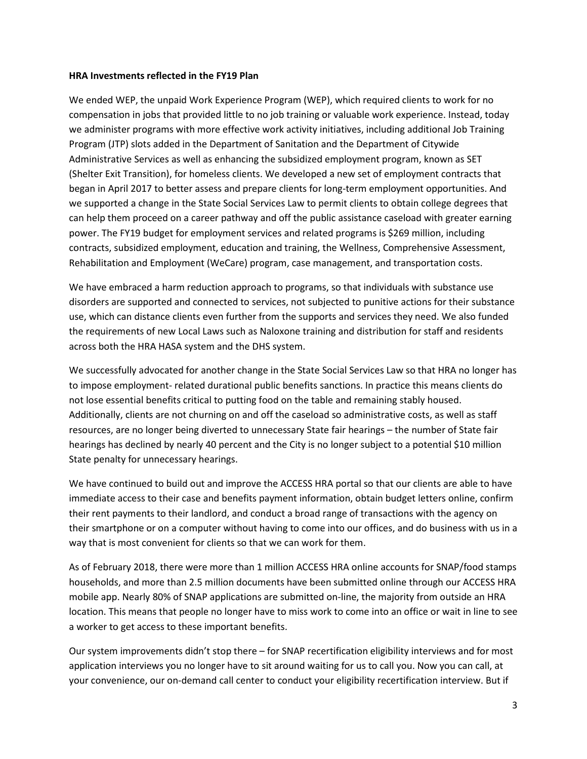#### **HRA Investments reflected in the FY19 Plan**

We ended WEP, the unpaid Work Experience Program (WEP), which required clients to work for no compensation in jobs that provided little to no job training or valuable work experience. Instead, today we administer programs with more effective work activity initiatives, including additional Job Training Program (JTP) slots added in the Department of Sanitation and the Department of Citywide Administrative Services as well as enhancing the subsidized employment program, known as SET (Shelter Exit Transition), for homeless clients. We developed a new set of employment contracts that began in April 2017 to better assess and prepare clients for long-term employment opportunities. And we supported a change in the State Social Services Law to permit clients to obtain college degrees that can help them proceed on a career pathway and off the public assistance caseload with greater earning power. The FY19 budget for employment services and related programs is \$269 million, including contracts, subsidized employment, education and training, the Wellness, Comprehensive Assessment, Rehabilitation and Employment (WeCare) program, case management, and transportation costs.

We have embraced a harm reduction approach to programs, so that individuals with substance use disorders are supported and connected to services, not subjected to punitive actions for their substance use, which can distance clients even further from the supports and services they need. We also funded the requirements of new Local Laws such as Naloxone training and distribution for staff and residents across both the HRA HASA system and the DHS system.

We successfully advocated for another change in the State Social Services Law so that HRA no longer has to impose employment- related durational public benefits sanctions. In practice this means clients do not lose essential benefits critical to putting food on the table and remaining stably housed. Additionally, clients are not churning on and off the caseload so administrative costs, as well as staff resources, are no longer being diverted to unnecessary State fair hearings – the number of State fair hearings has declined by nearly 40 percent and the City is no longer subject to a potential \$10 million State penalty for unnecessary hearings.

We have continued to build out and improve the ACCESS HRA portal so that our clients are able to have immediate access to their case and benefits payment information, obtain budget letters online, confirm their rent payments to their landlord, and conduct a broad range of transactions with the agency on their smartphone or on a computer without having to come into our offices, and do business with us in a way that is most convenient for clients so that we can work for them.

As of February 2018, there were more than 1 million ACCESS HRA online accounts for SNAP/food stamps households, and more than 2.5 million documents have been submitted online through our ACCESS HRA mobile app. Nearly 80% of SNAP applications are submitted on-line, the majority from outside an HRA location. This means that people no longer have to miss work to come into an office or wait in line to see a worker to get access to these important benefits.

Our system improvements didn't stop there – for SNAP recertification eligibility interviews and for most application interviews you no longer have to sit around waiting for us to call you. Now you can call, at your convenience, our on-demand call center to conduct your eligibility recertification interview. But if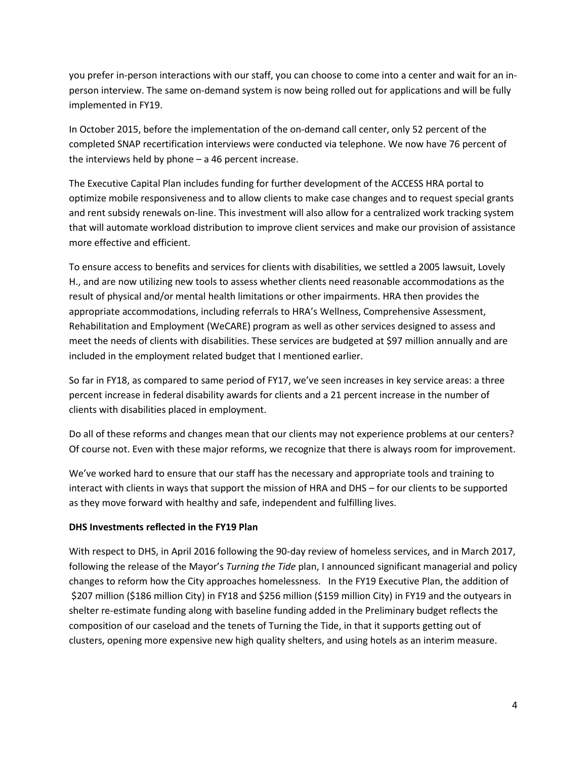you prefer in-person interactions with our staff, you can choose to come into a center and wait for an inperson interview. The same on-demand system is now being rolled out for applications and will be fully implemented in FY19.

In October 2015, before the implementation of the on-demand call center, only 52 percent of the completed SNAP recertification interviews were conducted via telephone. We now have 76 percent of the interviews held by phone – a 46 percent increase.

The Executive Capital Plan includes funding for further development of the ACCESS HRA portal to optimize mobile responsiveness and to allow clients to make case changes and to request special grants and rent subsidy renewals on-line. This investment will also allow for a centralized work tracking system that will automate workload distribution to improve client services and make our provision of assistance more effective and efficient.

To ensure access to benefits and services for clients with disabilities, we settled a 2005 lawsuit, Lovely H., and are now utilizing new tools to assess whether clients need reasonable accommodations as the result of physical and/or mental health limitations or other impairments. HRA then provides the appropriate accommodations, including referrals to HRA's Wellness, Comprehensive Assessment, Rehabilitation and Employment (WeCARE) program as well as other services designed to assess and meet the needs of clients with disabilities. These services are budgeted at \$97 million annually and are included in the employment related budget that I mentioned earlier.

So far in FY18, as compared to same period of FY17, we've seen increases in key service areas: a three percent increase in federal disability awards for clients and a 21 percent increase in the number of clients with disabilities placed in employment.

Do all of these reforms and changes mean that our clients may not experience problems at our centers? Of course not. Even with these major reforms, we recognize that there is always room for improvement.

We've worked hard to ensure that our staff has the necessary and appropriate tools and training to interact with clients in ways that support the mission of HRA and DHS – for our clients to be supported as they move forward with healthy and safe, independent and fulfilling lives.

### **DHS Investments reflected in the FY19 Plan**

With respect to DHS, in April 2016 following the 90-day review of homeless services, and in March 2017, following the release of the Mayor's *Turning the Tide* plan, I announced significant managerial and policy changes to reform how the City approaches homelessness. In the FY19 Executive Plan, the addition of \$207 million (\$186 million City) in FY18 and \$256 million (\$159 million City) in FY19 and the outyears in shelter re-estimate funding along with baseline funding added in the Preliminary budget reflects the composition of our caseload and the tenets of Turning the Tide, in that it supports getting out of clusters, opening more expensive new high quality shelters, and using hotels as an interim measure.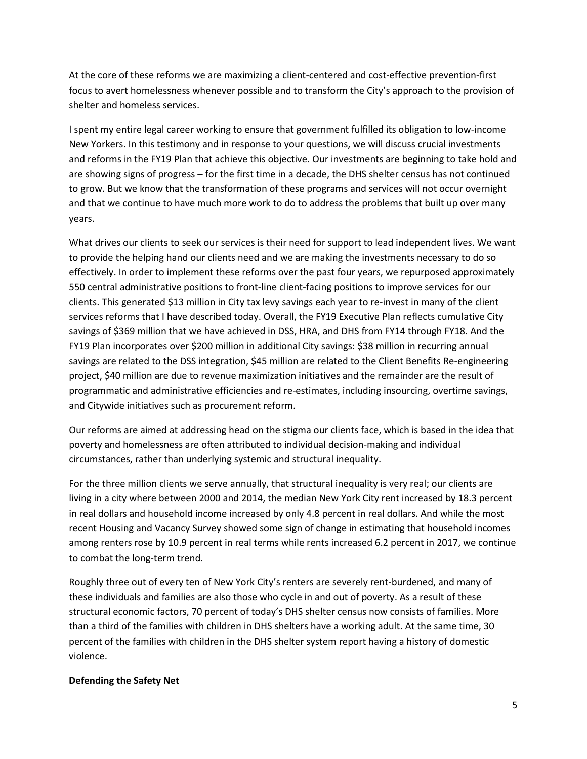At the core of these reforms we are maximizing a client-centered and cost-effective prevention-first focus to avert homelessness whenever possible and to transform the City's approach to the provision of shelter and homeless services.

I spent my entire legal career working to ensure that government fulfilled its obligation to low-income New Yorkers. In this testimony and in response to your questions, we will discuss crucial investments and reforms in the FY19 Plan that achieve this objective. Our investments are beginning to take hold and are showing signs of progress – for the first time in a decade, the DHS shelter census has not continued to grow. But we know that the transformation of these programs and services will not occur overnight and that we continue to have much more work to do to address the problems that built up over many years.

What drives our clients to seek our services is their need for support to lead independent lives. We want to provide the helping hand our clients need and we are making the investments necessary to do so effectively. In order to implement these reforms over the past four years, we repurposed approximately 550 central administrative positions to front-line client-facing positions to improve services for our clients. This generated \$13 million in City tax levy savings each year to re-invest in many of the client services reforms that I have described today. Overall, the FY19 Executive Plan reflects cumulative City savings of \$369 million that we have achieved in DSS, HRA, and DHS from FY14 through FY18. And the FY19 Plan incorporates over \$200 million in additional City savings: \$38 million in recurring annual savings are related to the DSS integration, \$45 million are related to the Client Benefits Re-engineering project, \$40 million are due to revenue maximization initiatives and the remainder are the result of programmatic and administrative efficiencies and re-estimates, including insourcing, overtime savings, and Citywide initiatives such as procurement reform.

Our reforms are aimed at addressing head on the stigma our clients face, which is based in the idea that poverty and homelessness are often attributed to individual decision-making and individual circumstances, rather than underlying systemic and structural inequality.

For the three million clients we serve annually, that structural inequality is very real; our clients are living in a city where between 2000 and 2014, the median New York City rent increased by 18.3 percent in real dollars and household income increased by only 4.8 percent in real dollars. And while the most recent Housing and Vacancy Survey showed some sign of change in estimating that household incomes among renters rose by 10.9 percent in real terms while rents increased 6.2 percent in 2017, we continue to combat the long-term trend.

Roughly three out of every ten of New York City's renters are severely rent-burdened, and many of these individuals and families are also those who cycle in and out of poverty. As a result of these structural economic factors, 70 percent of today's DHS shelter census now consists of families. More than a third of the families with children in DHS shelters have a working adult. At the same time, 30 percent of the families with children in the DHS shelter system report having a history of domestic violence.

#### **Defending the Safety Net**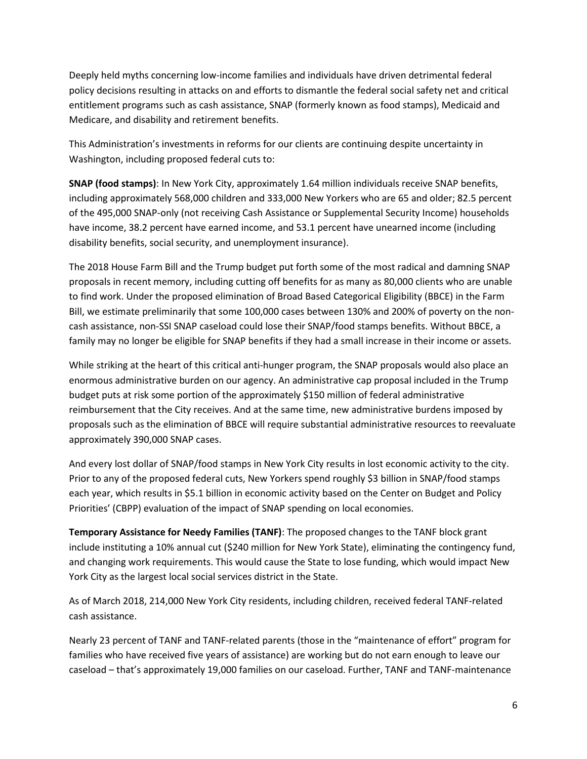Deeply held myths concerning low-income families and individuals have driven detrimental federal policy decisions resulting in attacks on and efforts to dismantle the federal social safety net and critical entitlement programs such as cash assistance, SNAP (formerly known as food stamps), Medicaid and Medicare, and disability and retirement benefits.

This Administration's investments in reforms for our clients are continuing despite uncertainty in Washington, including proposed federal cuts to:

**SNAP (food stamps)**: In New York City, approximately 1.64 million individuals receive SNAP benefits, including approximately 568,000 children and 333,000 New Yorkers who are 65 and older; 82.5 percent of the 495,000 SNAP-only (not receiving Cash Assistance or Supplemental Security Income) households have income, 38.2 percent have earned income, and 53.1 percent have unearned income (including disability benefits, social security, and unemployment insurance).

The 2018 House Farm Bill and the Trump budget put forth some of the most radical and damning SNAP proposals in recent memory, including cutting off benefits for as many as 80,000 clients who are unable to find work. Under the proposed elimination of Broad Based Categorical Eligibility (BBCE) in the Farm Bill, we estimate preliminarily that some 100,000 cases between 130% and 200% of poverty on the noncash assistance, non-SSI SNAP caseload could lose their SNAP/food stamps benefits. Without BBCE, a family may no longer be eligible for SNAP benefits if they had a small increase in their income or assets.

While striking at the heart of this critical anti-hunger program, the SNAP proposals would also place an enormous administrative burden on our agency. An administrative cap proposal included in the Trump budget puts at risk some portion of the approximately \$150 million of federal administrative reimbursement that the City receives. And at the same time, new administrative burdens imposed by proposals such as the elimination of BBCE will require substantial administrative resources to reevaluate approximately 390,000 SNAP cases.

And every lost dollar of SNAP/food stamps in New York City results in lost economic activity to the city. Prior to any of the proposed federal cuts, New Yorkers spend roughly \$3 billion in SNAP/food stamps each year, which results in \$5.1 billion in economic activity based on the Center on Budget and Policy Priorities' (CBPP) evaluation of the impact of SNAP spending on local economies.

**Temporary Assistance for Needy Families (TANF)**: The proposed changes to the TANF block grant include instituting a 10% annual cut (\$240 million for New York State), eliminating the contingency fund, and changing work requirements. This would cause the State to lose funding, which would impact New York City as the largest local social services district in the State.

As of March 2018, 214,000 New York City residents, including children, received federal TANF-related cash assistance.

Nearly 23 percent of TANF and TANF-related parents (those in the "maintenance of effort" program for families who have received five years of assistance) are working but do not earn enough to leave our caseload – that's approximately 19,000 families on our caseload. Further, TANF and TANF-maintenance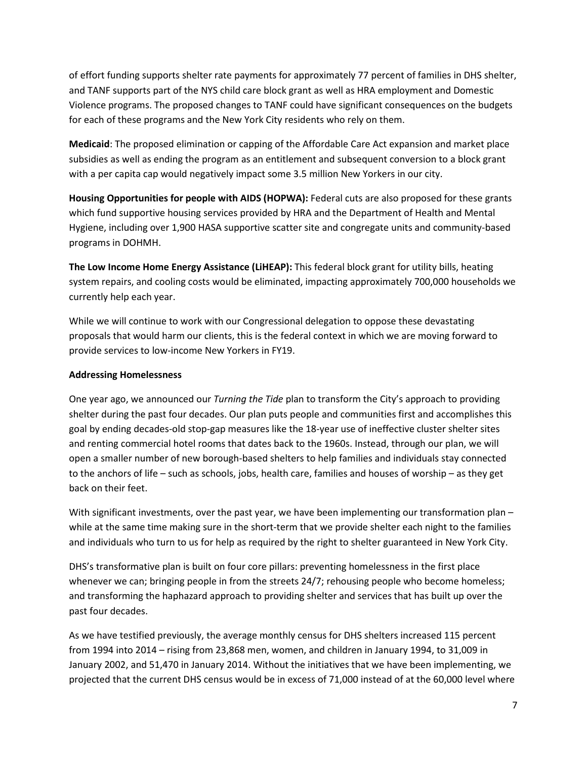of effort funding supports shelter rate payments for approximately 77 percent of families in DHS shelter, and TANF supports part of the NYS child care block grant as well as HRA employment and Domestic Violence programs. The proposed changes to TANF could have significant consequences on the budgets for each of these programs and the New York City residents who rely on them.

**Medicaid**: The proposed elimination or capping of the Affordable Care Act expansion and market place subsidies as well as ending the program as an entitlement and subsequent conversion to a block grant with a per capita cap would negatively impact some 3.5 million New Yorkers in our city.

**Housing Opportunities for people with AIDS (HOPWA):** Federal cuts are also proposed for these grants which fund supportive housing services provided by HRA and the Department of Health and Mental Hygiene, including over 1,900 HASA supportive scatter site and congregate units and community-based programs in DOHMH.

**The Low Income Home Energy Assistance (LiHEAP):** This federal block grant for utility bills, heating system repairs, and cooling costs would be eliminated, impacting approximately 700,000 households we currently help each year.

While we will continue to work with our Congressional delegation to oppose these devastating proposals that would harm our clients, this is the federal context in which we are moving forward to provide services to low-income New Yorkers in FY19.

#### **Addressing Homelessness**

One year ago, we announced our *Turning the Tide* plan to transform the City's approach to providing shelter during the past four decades. Our plan puts people and communities first and accomplishes this goal by ending decades-old stop-gap measures like the 18-year use of ineffective cluster shelter sites and renting commercial hotel rooms that dates back to the 1960s. Instead, through our plan, we will open a smaller number of new borough-based shelters to help families and individuals stay connected to the anchors of life – such as schools, jobs, health care, families and houses of worship – as they get back on their feet.

With significant investments, over the past year, we have been implementing our transformation plan – while at the same time making sure in the short-term that we provide shelter each night to the families and individuals who turn to us for help as required by the right to shelter guaranteed in New York City.

DHS's transformative plan is built on four core pillars: preventing homelessness in the first place whenever we can; bringing people in from the streets 24/7; rehousing people who become homeless; and transforming the haphazard approach to providing shelter and services that has built up over the past four decades.

As we have testified previously, the average monthly census for DHS shelters increased 115 percent from 1994 into 2014 – rising from 23,868 men, women, and children in January 1994, to 31,009 in January 2002, and 51,470 in January 2014. Without the initiatives that we have been implementing, we projected that the current DHS census would be in excess of 71,000 instead of at the 60,000 level where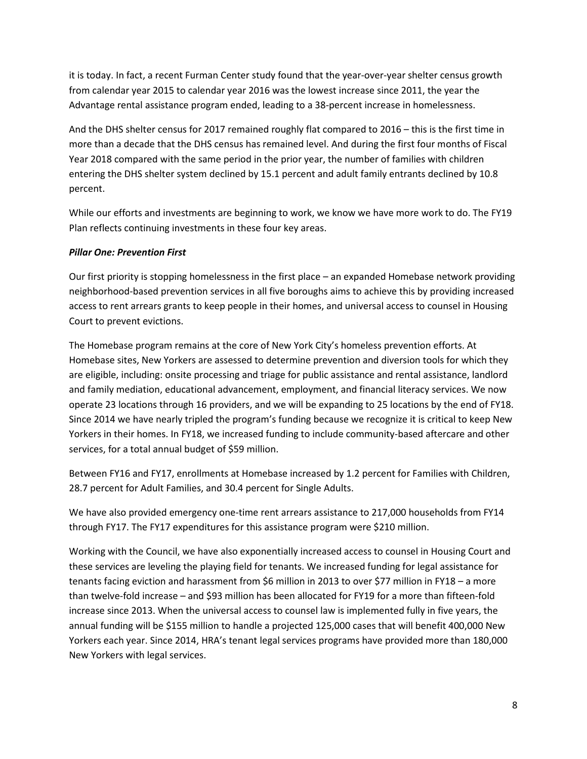it is today. In fact, a recent Furman Center study found that the year-over-year shelter census growth from calendar year 2015 to calendar year 2016 was the lowest increase since 2011, the year the Advantage rental assistance program ended, leading to a 38-percent increase in homelessness.

And the DHS shelter census for 2017 remained roughly flat compared to 2016 – this is the first time in more than a decade that the DHS census has remained level. And during the first four months of Fiscal Year 2018 compared with the same period in the prior year, the number of families with children entering the DHS shelter system declined by 15.1 percent and adult family entrants declined by 10.8 percent.

While our efforts and investments are beginning to work, we know we have more work to do. The FY19 Plan reflects continuing investments in these four key areas.

### *Pillar One: Prevention First*

Our first priority is stopping homelessness in the first place – an expanded Homebase network providing neighborhood-based prevention services in all five boroughs aims to achieve this by providing increased access to rent arrears grants to keep people in their homes, and universal access to counsel in Housing Court to prevent evictions.

The Homebase program remains at the core of New York City's homeless prevention efforts. At Homebase sites, New Yorkers are assessed to determine prevention and diversion tools for which they are eligible, including: onsite processing and triage for public assistance and rental assistance, landlord and family mediation, educational advancement, employment, and financial literacy services. We now operate 23 locations through 16 providers, and we will be expanding to 25 locations by the end of FY18. Since 2014 we have nearly tripled the program's funding because we recognize it is critical to keep New Yorkers in their homes. In FY18, we increased funding to include community-based aftercare and other services, for a total annual budget of \$59 million.

Between FY16 and FY17, enrollments at Homebase increased by 1.2 percent for Families with Children, 28.7 percent for Adult Families, and 30.4 percent for Single Adults.

We have also provided emergency one-time rent arrears assistance to 217,000 households from FY14 through FY17. The FY17 expenditures for this assistance program were \$210 million.

Working with the Council, we have also exponentially increased access to counsel in Housing Court and these services are leveling the playing field for tenants. We increased funding for legal assistance for tenants facing eviction and harassment from \$6 million in 2013 to over \$77 million in FY18 – a more than twelve-fold increase – and \$93 million has been allocated for FY19 for a more than fifteen-fold increase since 2013. When the universal access to counsel law is implemented fully in five years, the annual funding will be \$155 million to handle a projected 125,000 cases that will benefit 400,000 New Yorkers each year. Since 2014, HRA's tenant legal services programs have provided more than 180,000 New Yorkers with legal services.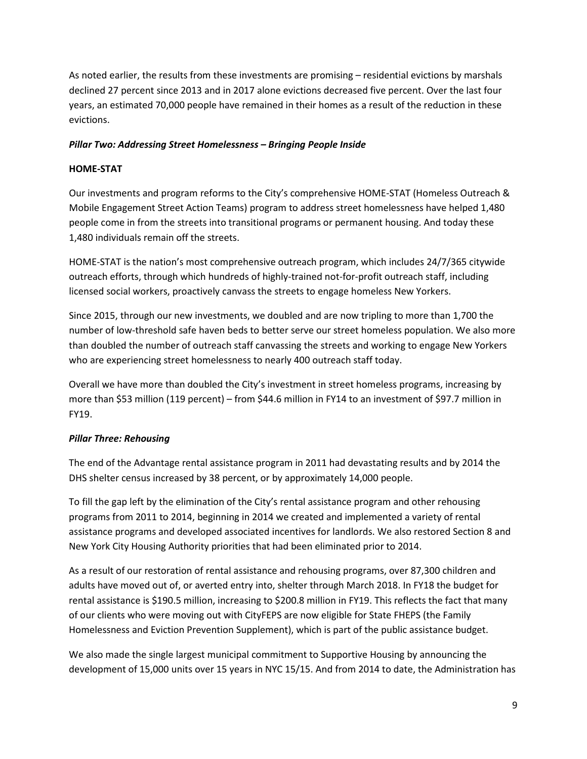As noted earlier, the results from these investments are promising – residential evictions by marshals declined 27 percent since 2013 and in 2017 alone evictions decreased five percent. Over the last four years, an estimated 70,000 people have remained in their homes as a result of the reduction in these evictions.

### *Pillar Two: Addressing Street Homelessness – Bringing People Inside*

### **HOME-STAT**

Our investments and program reforms to the City's comprehensive HOME-STAT (Homeless Outreach & Mobile Engagement Street Action Teams) program to address street homelessness have helped 1,480 people come in from the streets into transitional programs or permanent housing. And today these 1,480 individuals remain off the streets.

HOME-STAT is the nation's most comprehensive outreach program, which includes 24/7/365 citywide outreach efforts, through which hundreds of highly-trained not-for-profit outreach staff, including licensed social workers, proactively canvass the streets to engage homeless New Yorkers.

Since 2015, through our new investments, we doubled and are now tripling to more than 1,700 the number of low-threshold safe haven beds to better serve our street homeless population. We also more than doubled the number of outreach staff canvassing the streets and working to engage New Yorkers who are experiencing street homelessness to nearly 400 outreach staff today.

Overall we have more than doubled the City's investment in street homeless programs, increasing by more than \$53 million (119 percent) – from \$44.6 million in FY14 to an investment of \$97.7 million in FY19.

## *Pillar Three: Rehousing*

The end of the Advantage rental assistance program in 2011 had devastating results and by 2014 the DHS shelter census increased by 38 percent, or by approximately 14,000 people.

To fill the gap left by the elimination of the City's rental assistance program and other rehousing programs from 2011 to 2014, beginning in 2014 we created and implemented a variety of rental assistance programs and developed associated incentives for landlords. We also restored Section 8 and New York City Housing Authority priorities that had been eliminated prior to 2014.

As a result of our restoration of rental assistance and rehousing programs, over 87,300 children and adults have moved out of, or averted entry into, shelter through March 2018. In FY18 the budget for rental assistance is \$190.5 million, increasing to \$200.8 million in FY19. This reflects the fact that many of our clients who were moving out with CityFEPS are now eligible for State FHEPS (the Family Homelessness and Eviction Prevention Supplement), which is part of the public assistance budget.

We also made the single largest municipal commitment to Supportive Housing by announcing the development of 15,000 units over 15 years in NYC 15/15. And from 2014 to date, the Administration has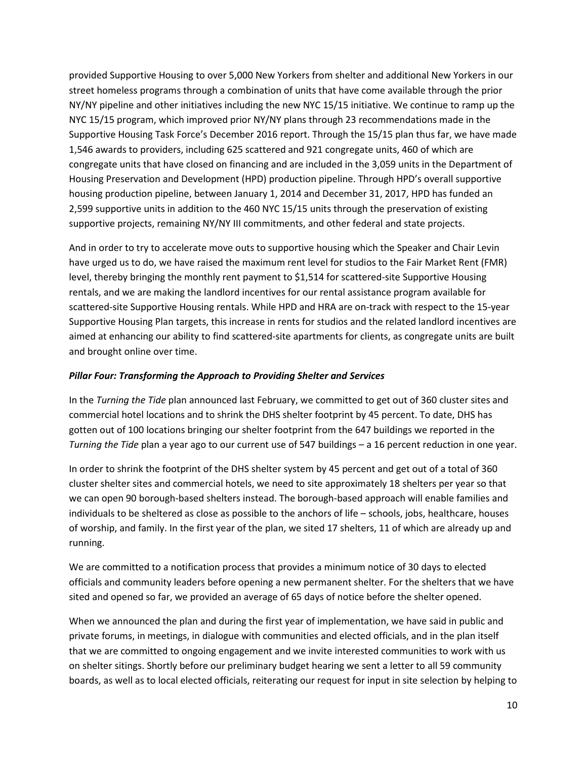provided Supportive Housing to over 5,000 New Yorkers from shelter and additional New Yorkers in our street homeless programs through a combination of units that have come available through the prior NY/NY pipeline and other initiatives including the new NYC 15/15 initiative. We continue to ramp up the NYC 15/15 program, which improved prior NY/NY plans through 23 recommendations made in the Supportive Housing Task Force's December 2016 report. Through the 15/15 plan thus far, we have made 1,546 awards to providers, including 625 scattered and 921 congregate units, 460 of which are congregate units that have closed on financing and are included in the 3,059 units in the Department of Housing Preservation and Development (HPD) production pipeline. Through HPD's overall supportive housing production pipeline, between January 1, 2014 and December 31, 2017, HPD has funded an 2,599 supportive units in addition to the 460 NYC 15/15 units through the preservation of existing supportive projects, remaining NY/NY III commitments, and other federal and state projects.

And in order to try to accelerate move outs to supportive housing which the Speaker and Chair Levin have urged us to do, we have raised the maximum rent level for studios to the Fair Market Rent (FMR) level, thereby bringing the monthly rent payment to \$1,514 for scattered-site Supportive Housing rentals, and we are making the landlord incentives for our rental assistance program available for scattered-site Supportive Housing rentals. While HPD and HRA are on-track with respect to the 15-year Supportive Housing Plan targets, this increase in rents for studios and the related landlord incentives are aimed at enhancing our ability to find scattered-site apartments for clients, as congregate units are built and brought online over time.

#### *Pillar Four: Transforming the Approach to Providing Shelter and Services*

In the *Turning the Tide* plan announced last February, we committed to get out of 360 cluster sites and commercial hotel locations and to shrink the DHS shelter footprint by 45 percent. To date, DHS has gotten out of 100 locations bringing our shelter footprint from the 647 buildings we reported in the *Turning the Tide* plan a year ago to our current use of 547 buildings – a 16 percent reduction in one year.

In order to shrink the footprint of the DHS shelter system by 45 percent and get out of a total of 360 cluster shelter sites and commercial hotels, we need to site approximately 18 shelters per year so that we can open 90 borough-based shelters instead. The borough-based approach will enable families and individuals to be sheltered as close as possible to the anchors of life – schools, jobs, healthcare, houses of worship, and family. In the first year of the plan, we sited 17 shelters, 11 of which are already up and running.

We are committed to a notification process that provides a minimum notice of 30 days to elected officials and community leaders before opening a new permanent shelter. For the shelters that we have sited and opened so far, we provided an average of 65 days of notice before the shelter opened.

When we announced the plan and during the first year of implementation, we have said in public and private forums, in meetings, in dialogue with communities and elected officials, and in the plan itself that we are committed to ongoing engagement and we invite interested communities to work with us on shelter sitings. Shortly before our preliminary budget hearing we sent a letter to all 59 community boards, as well as to local elected officials, reiterating our request for input in site selection by helping to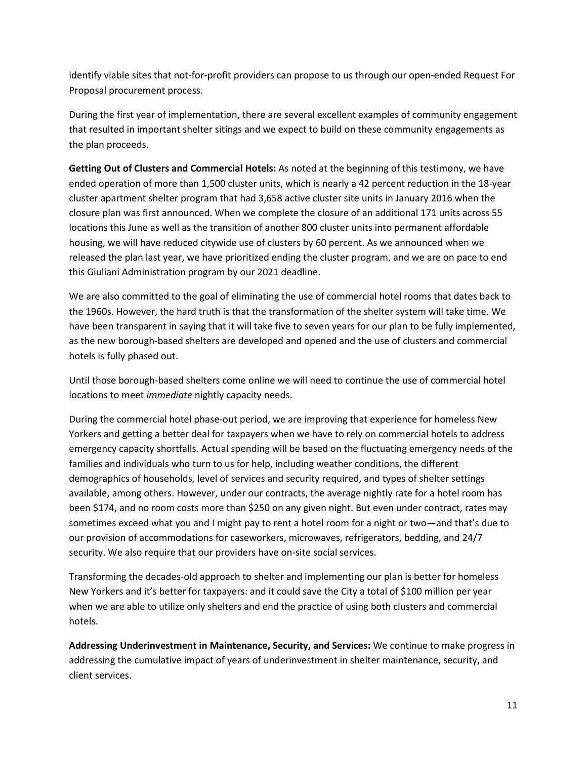identify viable sites that not-for-profit providers can propose to us through our open-ended Request For Proposal procurement process.

During the first year of implementation, there are several excellent examples of community engagement that resulted in important shelter sitings and we expect to build on these community engagements as the plan proceeds.

**Getting Out of Clusters and Commercial Hotels:** As noted at the beginning of this testimony, we have ended operation of more than 1,500 cluster units, which is nearly a 42 percent reduction in the 18-year cluster apartment shelter program that had 3,658 active cluster site units in January 2016 when the closure plan was first announced. When we complete the closure of an additional 171 units across 55 locations this June as well as the transition of another 800 cluster units into permanent affordable housing, we will have reduced citywide use of clusters by 60 percent. As we announced when we released the plan last year, we have prioritized ending the cluster program, and we are on pace to end this Giuliani Administration program by our 2021 deadline.

We are also committed to the goal of eliminating the use of commercial hotel rooms that dates back to the 1960s. However, the hard truth is that the transformation of the shelter system will take time. We have been transparent in saying that it will take five to seven years for our plan to be fully implemented, as the new borough-based shelters are developed and opened and the use of clusters and commercial hotels is fully phased out.

Until those borough-based shelters come online we will need to continue the use of commercial hotel locations to meet *immediate* nightly capacity needs.

During the commercial hotel phase-out period, we are improving that experience for homeless New Yorkers and getting a better deal for taxpayers when we have to rely on commercial hotels to address emergency capacity shortfalls. Actual spending will be based on the fluctuating emergency needs of the families and individuals who turn to us for help, including weather conditions, the different demographics of households, level of services and security required, and types of shelter settings available, among others. However, under our contracts, the average nightly rate for a hotel room has been \$174, and no room costs more than \$250 on any given night. But even under contract, rates may sometimes exceed what you and I might pay to rent a hotel room for a night or two—and that's due to our provision of accommodations for caseworkers, microwaves, refrigerators, bedding, and 24/7 security. We also require that our providers have on-site social services.

Transforming the decades-old approach to shelter and implementing our plan is better for homeless New Yorkers and it's better for taxpayers: and it could save the City a total of \$100 million per year when we are able to utilize only shelters and end the practice of using both clusters and commercial hotels.

**Addressing Underinvestment in Maintenance, Security, and Services:** We continue to make progress in addressing the cumulative impact of years of underinvestment in shelter maintenance, security, and client services.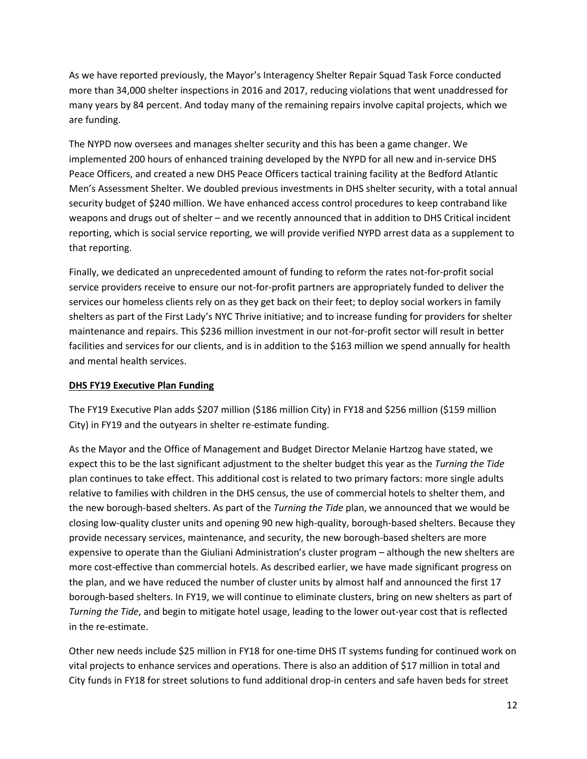As we have reported previously, the Mayor's Interagency Shelter Repair Squad Task Force conducted more than 34,000 shelter inspections in 2016 and 2017, reducing violations that went unaddressed for many years by 84 percent. And today many of the remaining repairs involve capital projects, which we are funding.

The NYPD now oversees and manages shelter security and this has been a game changer. We implemented 200 hours of enhanced training developed by the NYPD for all new and in-service DHS Peace Officers, and created a new DHS Peace Officers tactical training facility at the Bedford Atlantic Men's Assessment Shelter. We doubled previous investments in DHS shelter security, with a total annual security budget of \$240 million. We have enhanced access control procedures to keep contraband like weapons and drugs out of shelter – and we recently announced that in addition to DHS Critical incident reporting, which is social service reporting, we will provide verified NYPD arrest data as a supplement to that reporting.

Finally, we dedicated an unprecedented amount of funding to reform the rates not-for-profit social service providers receive to ensure our not-for-profit partners are appropriately funded to deliver the services our homeless clients rely on as they get back on their feet; to deploy social workers in family shelters as part of the First Lady's NYC Thrive initiative; and to increase funding for providers for shelter maintenance and repairs. This \$236 million investment in our not-for-profit sector will result in better facilities and services for our clients, and is in addition to the \$163 million we spend annually for health and mental health services.

### **DHS FY19 Executive Plan Funding**

The FY19 Executive Plan adds \$207 million (\$186 million City) in FY18 and \$256 million (\$159 million City) in FY19 and the outyears in shelter re-estimate funding.

As the Mayor and the Office of Management and Budget Director Melanie Hartzog have stated, we expect this to be the last significant adjustment to the shelter budget this year as the *Turning the Tide* plan continues to take effect. This additional cost is related to two primary factors: more single adults relative to families with children in the DHS census, the use of commercial hotels to shelter them, and the new borough-based shelters. As part of the *Turning the Tide* plan, we announced that we would be closing low-quality cluster units and opening 90 new high-quality, borough-based shelters. Because they provide necessary services, maintenance, and security, the new borough-based shelters are more expensive to operate than the Giuliani Administration's cluster program – although the new shelters are more cost-effective than commercial hotels. As described earlier, we have made significant progress on the plan, and we have reduced the number of cluster units by almost half and announced the first 17 borough-based shelters. In FY19, we will continue to eliminate clusters, bring on new shelters as part of *Turning the Tide*, and begin to mitigate hotel usage, leading to the lower out-year cost that is reflected in the re-estimate.

Other new needs include \$25 million in FY18 for one-time DHS IT systems funding for continued work on vital projects to enhance services and operations. There is also an addition of \$17 million in total and City funds in FY18 for street solutions to fund additional drop-in centers and safe haven beds for street